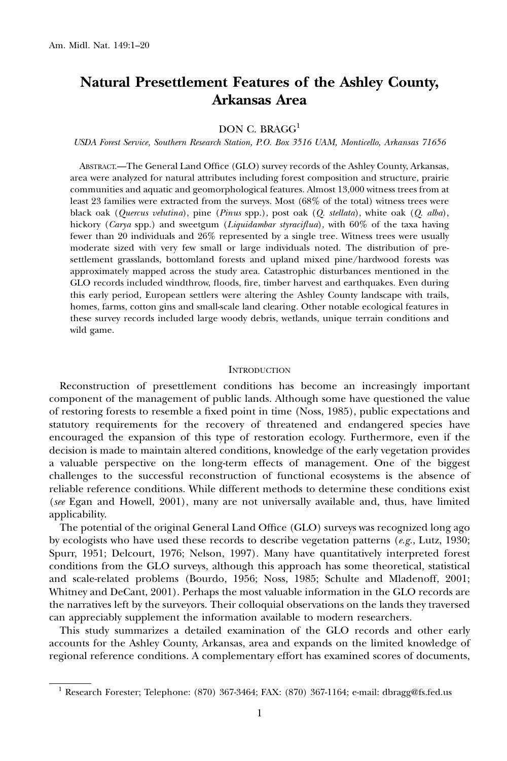# Natural Presettlement Features of the Ashley County, Arkansas Area

# DON C. BRAGG<sup>1</sup>

USDA Forest Service, Southern Research Station, P.O. Box 3516 UAM, Monticello, Arkansas 71656

ABSTRACT.—The General Land Office (GLO) survey records of the Ashley County, Arkansas, area were analyzed for natural attributes including forest composition and structure, prairie communities and aquatic and geomorphological features. Almost 13,000 witness trees from at least 23 families were extracted from the surveys. Most (68% of the total) witness trees were black oak (Quercus velutina), pine (Pinus spp.), post oak (Q. stellata), white oak (Q. alba), hickory (Carya spp.) and sweetgum (Liquidambar styraciflua), with 60% of the taxa having fewer than 20 individuals and 26% represented by a single tree. Witness trees were usually moderate sized with very few small or large individuals noted. The distribution of presettlement grasslands, bottomland forests and upland mixed pine/hardwood forests was approximately mapped across the study area. Catastrophic disturbances mentioned in the GLO records included windthrow, floods, fire, timber harvest and earthquakes. Even during this early period, European settlers were altering the Ashley County landscape with trails, homes, farms, cotton gins and small-scale land clearing. Other notable ecological features in these survey records included large woody debris, wetlands, unique terrain conditions and wild game.

#### **INTRODUCTION**

Reconstruction of presettlement conditions has become an increasingly important component of the management of public lands. Although some have questioned the value of restoring forests to resemble a fixed point in time (Noss, 1985), public expectations and statutory requirements for the recovery of threatened and endangered species have encouraged the expansion of this type of restoration ecology. Furthermore, even if the decision is made to maintain altered conditions, knowledge of the early vegetation provides a valuable perspective on the long-term effects of management. One of the biggest challenges to the successful reconstruction of functional ecosystems is the absence of reliable reference conditions. While different methods to determine these conditions exist (see Egan and Howell, 2001), many are not universally available and, thus, have limited applicability.

The potential of the original General Land Office (GLO) surveys was recognized long ago by ecologists who have used these records to describe vegetation patterns  $(e.g., Lutz, 1930;$ Spurr, 1951; Delcourt, 1976; Nelson, 1997). Many have quantitatively interpreted forest conditions from the GLO surveys, although this approach has some theoretical, statistical and scale-related problems (Bourdo, 1956; Noss, 1985; Schulte and Mladenoff, 2001; Whitney and DeCant, 2001). Perhaps the most valuable information in the GLO records are the narratives left by the surveyors. Their colloquial observations on the lands they traversed can appreciably supplement the information available to modern researchers.

This study summarizes a detailed examination of the GLO records and other early accounts for the Ashley County, Arkansas, area and expands on the limited knowledge of regional reference conditions. A complementary effort has examined scores of documents,

<sup>&</sup>lt;sup>1</sup> Research Forester; Telephone: (870) 367-3464; FAX: (870) 367-1164; e-mail: dbragg@fs.fed.us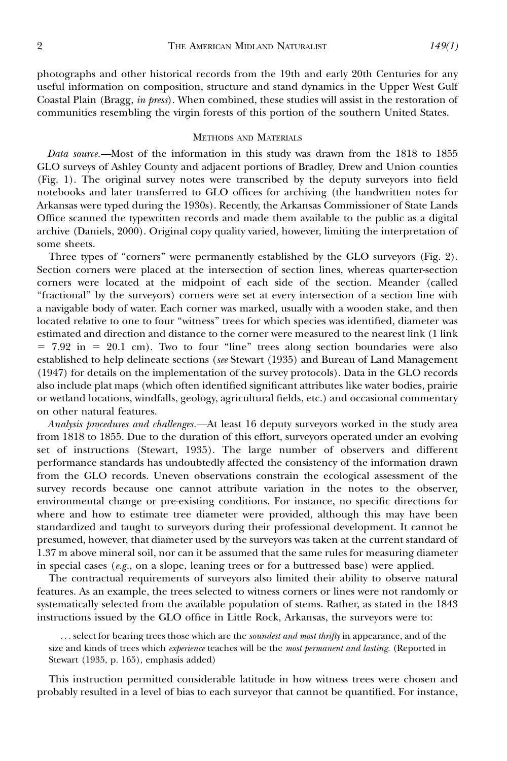photographs and other historical records from the 19th and early 20th Centuries for any useful information on composition, structure and stand dynamics in the Upper West Gulf Coastal Plain (Bragg, in press). When combined, these studies will assist in the restoration of communities resembling the virgin forests of this portion of the southern United States.

## METHODS AND MATERIALS

Data source.—Most of the information in this study was drawn from the 1818 to 1855 GLO surveys of Ashley County and adjacent portions of Bradley, Drew and Union counties (Fig. 1). The original survey notes were transcribed by the deputy surveyors into field notebooks and later transferred to GLO offices for archiving (the handwritten notes for Arkansas were typed during the 1930s). Recently, the Arkansas Commissioner of State Lands Office scanned the typewritten records and made them available to the public as a digital archive (Daniels, 2000). Original copy quality varied, however, limiting the interpretation of some sheets.

Three types of "corners" were permanently established by the GLO surveyors (Fig. 2). Section corners were placed at the intersection of section lines, whereas quarter-section corners were located at the midpoint of each side of the section. Meander (called ''fractional'' by the surveyors) corners were set at every intersection of a section line with a navigable body of water. Each corner was marked, usually with a wooden stake, and then located relative to one to four ''witness'' trees for which species was identified, diameter was estimated and direction and distance to the corner were measured to the nearest link (1 link  $= 7.92$  in  $= 20.1$  cm). Two to four "line" trees along section boundaries were also established to help delineate sections (see Stewart (1935) and Bureau of Land Management (1947) for details on the implementation of the survey protocols). Data in the GLO records also include plat maps (which often identified significant attributes like water bodies, prairie or wetland locations, windfalls, geology, agricultural fields, etc.) and occasional commentary on other natural features.

Analysis procedures and challenges.—At least 16 deputy surveyors worked in the study area from 1818 to 1855. Due to the duration of this effort, surveyors operated under an evolving set of instructions (Stewart, 1935). The large number of observers and different performance standards has undoubtedly affected the consistency of the information drawn from the GLO records. Uneven observations constrain the ecological assessment of the survey records because one cannot attribute variation in the notes to the observer, environmental change or pre-existing conditions. For instance, no specific directions for where and how to estimate tree diameter were provided, although this may have been standardized and taught to surveyors during their professional development. It cannot be presumed, however, that diameter used by the surveyors was taken at the current standard of 1.37 m above mineral soil, nor can it be assumed that the same rules for measuring diameter in special cases ( $e.g.,$  on a slope, leaning trees or for a buttressed base) were applied.

The contractual requirements of surveyors also limited their ability to observe natural features. As an example, the trees selected to witness corners or lines were not randomly or systematically selected from the available population of stems. Rather, as stated in the 1843 instructions issued by the GLO office in Little Rock, Arkansas, the surveyors were to:

... select for bearing trees those which are the *soundest and most thrifty* in appearance, and of the size and kinds of trees which experience teaches will be the most permanent and lasting. (Reported in Stewart (1935, p. 165), emphasis added)

This instruction permitted considerable latitude in how witness trees were chosen and probably resulted in a level of bias to each surveyor that cannot be quantified. For instance,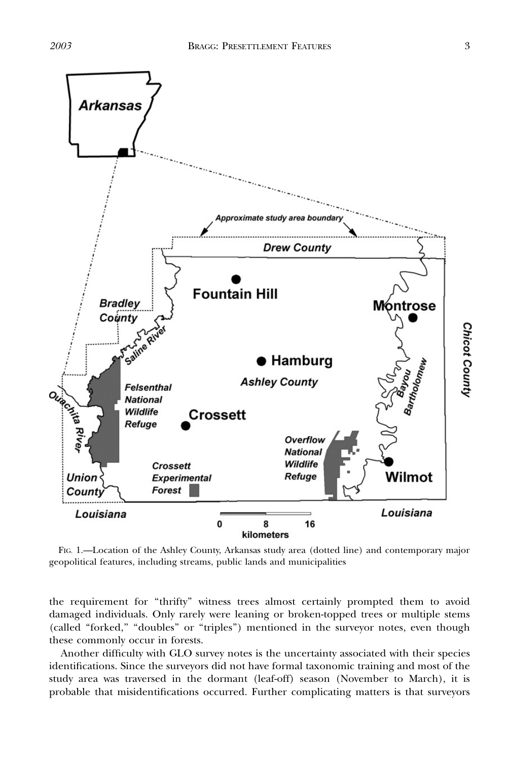

FIG. 1.—Location of the Ashley County, Arkansas study area (dotted line) and contemporary major geopolitical features, including streams, public lands and municipalities

the requirement for ''thrifty'' witness trees almost certainly prompted them to avoid damaged individuals. Only rarely were leaning or broken-topped trees or multiple stems (called "forked," "doubles" or "triples") mentioned in the surveyor notes, even though these commonly occur in forests.

Another difficulty with GLO survey notes is the uncertainty associated with their species identifications. Since the surveyors did not have formal taxonomic training and most of the study area was traversed in the dormant (leaf-off) season (November to March), it is probable that misidentifications occurred. Further complicating matters is that surveyors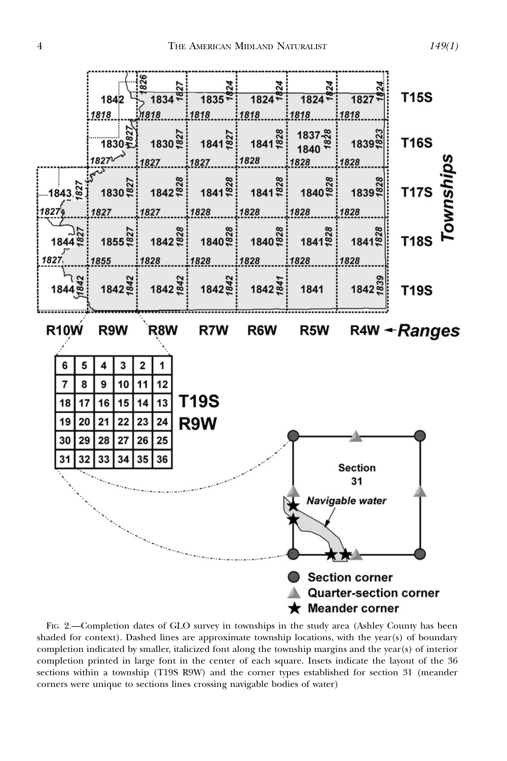

FIG. 2.—Completion dates of GLO survey in townships in the study area (Ashley County has been shaded for context). Dashed lines are approximate township locations, with the year(s) of boundary completion indicated by smaller, italicized font along the township margins and the year(s) of interior completion printed in large font in the center of each square. Insets indicate the layout of the 36 sections within a township (T19S R9W) and the corner types established for section 31 (meander corners were unique to sections lines crossing navigable bodies of water)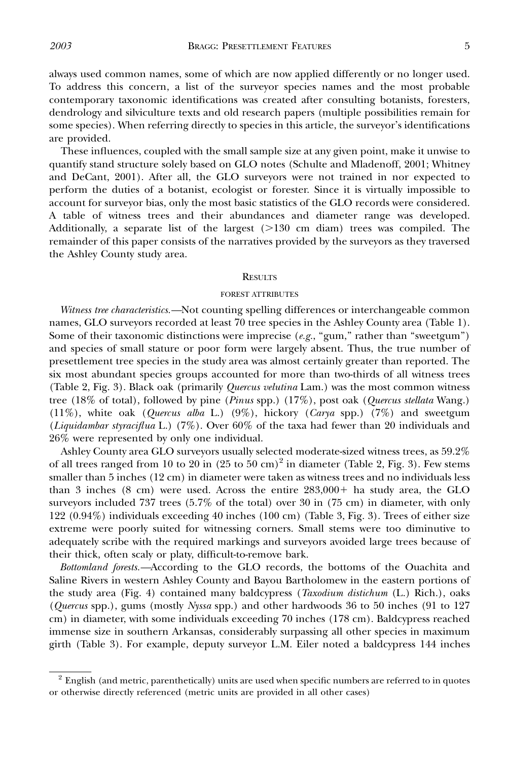always used common names, some of which are now applied differently or no longer used. To address this concern, a list of the surveyor species names and the most probable contemporary taxonomic identifications was created after consulting botanists, foresters, dendrology and silviculture texts and old research papers (multiple possibilities remain for some species). When referring directly to species in this article, the surveyor's identifications are provided.

These influences, coupled with the small sample size at any given point, make it unwise to quantify stand structure solely based on GLO notes (Schulte and Mladenoff, 2001; Whitney and DeCant, 2001). After all, the GLO surveyors were not trained in nor expected to perform the duties of a botanist, ecologist or forester. Since it is virtually impossible to account for surveyor bias, only the most basic statistics of the GLO records were considered. A table of witness trees and their abundances and diameter range was developed. Additionally, a separate list of the largest  $(>130 \text{ cm } \text{diam})$  trees was compiled. The remainder of this paper consists of the narratives provided by the surveyors as they traversed the Ashley County study area.

#### **RESULTS**

#### FOREST ATTRIBUTES

Witness tree characteristics.—Not counting spelling differences or interchangeable common names, GLO surveyors recorded at least 70 tree species in the Ashley County area (Table 1). Some of their taxonomic distinctions were imprecise (e.g., "gum," rather than "sweetgum") and species of small stature or poor form were largely absent. Thus, the true number of presettlement tree species in the study area was almost certainly greater than reported. The six most abundant species groups accounted for more than two-thirds of all witness trees (Table 2, Fig. 3). Black oak (primarily Quercus velutina Lam.) was the most common witness tree (18% of total), followed by pine (Pinus spp.) (17%), post oak (Quercus stellata Wang.)  $(11\%)$ , white oak (*Quercus alba* L.) (9%), hickory (*Carya spp.*) (7%) and sweetgum (Liquidambar styraciflua L.) (7%). Over 60% of the taxa had fewer than 20 individuals and 26% were represented by only one individual.

Ashley County area GLO surveyors usually selected moderate-sized witness trees, as 59.2% of all trees ranged from 10 to 20 in  $(25 \text{ to } 50 \text{ cm})^2$  in diameter (Table 2, Fig. 3). Few stems smaller than 5 inches (12 cm) in diameter were taken as witness trees and no individuals less than  $3$  inches  $(8 \text{ cm})$  were used. Across the entire  $283,000+$  ha study area, the GLO surveyors included 737 trees  $(5.7\%$  of the total) over 30 in  $(75 \text{ cm})$  in diameter, with only 122 (0.94%) individuals exceeding 40 inches (100 cm) (Table 3, Fig. 3). Trees of either size extreme were poorly suited for witnessing corners. Small stems were too diminutive to adequately scribe with the required markings and surveyors avoided large trees because of their thick, often scaly or platy, difficult-to-remove bark.

Bottomland forests.—According to the GLO records, the bottoms of the Ouachita and Saline Rivers in western Ashley County and Bayou Bartholomew in the eastern portions of the study area (Fig. 4) contained many baldcypress (Taxodium distichum (L.) Rich.), oaks (Quercus spp.), gums (mostly Nyssa spp.) and other hardwoods 36 to 50 inches (91 to 127 cm) in diameter, with some individuals exceeding 70 inches (178 cm). Baldcypress reached immense size in southern Arkansas, considerably surpassing all other species in maximum girth (Table 3). For example, deputy surveyor L.M. Eiler noted a baldcypress 144 inches

 $2$  English (and metric, parenthetically) units are used when specific numbers are referred to in quotes or otherwise directly referenced (metric units are provided in all other cases)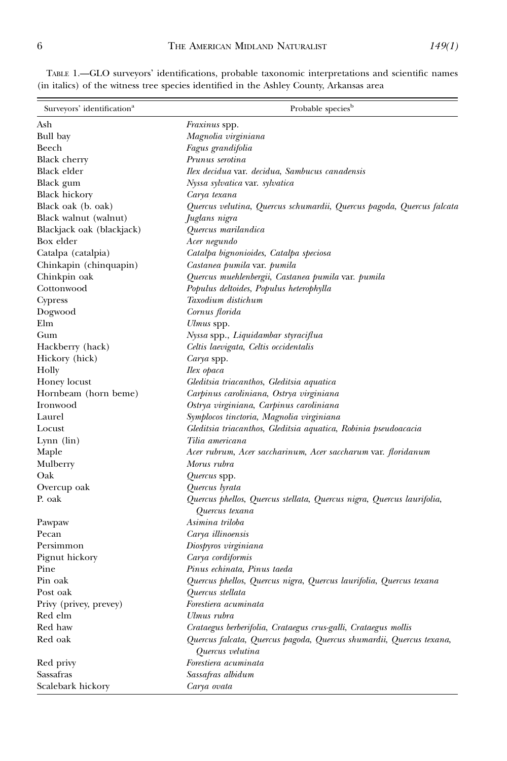| Surveyors' identification <sup>a</sup> | Probable species <sup>b</sup>                                                           |
|----------------------------------------|-----------------------------------------------------------------------------------------|
| Ash                                    | <i>Fraxinus</i> spp.                                                                    |
| <b>Bull</b> bay                        | Magnolia virginiana                                                                     |
| Beech                                  | Fagus grandifolia                                                                       |
| Black cherry                           | Prunus serotina                                                                         |
| Black elder                            | Ilex decidua var. decidua, Sambucus canadensis                                          |
| Black gum                              | Nyssa sylvatica var. sylvatica                                                          |
| Black hickory                          | Carya texana                                                                            |
| Black oak (b. oak)                     | Quercus velutina, Quercus schumardii, Quercus pagoda, Quercus falcata                   |
| Black walnut (walnut)                  | Juglans nigra                                                                           |
| Blackjack oak (blackjack)              | Quercus marilandica                                                                     |
| Box elder                              | Acer negundo                                                                            |
| Catalpa (catalpia)                     | Catalpa bignonioides, Catalpa speciosa                                                  |
| Chinkapin (chinquapin)                 | Castanea pumila var. pumila                                                             |
| Chinkpin oak                           | Quercus muehlenbergii, Castanea pumila var. pumila                                      |
| Cottonwood                             | Populus deltoides, Populus heterophylla                                                 |
| Cypress                                | Taxodium distichum                                                                      |
| Dogwood                                | Cornus florida                                                                          |
| Elm                                    | Ulmus spp.                                                                              |
| Gum                                    | Nyssa spp., Liquidambar styraciflua                                                     |
| Hackberry (hack)                       | Celtis laevigata, Celtis occidentalis                                                   |
| Hickory (hick)                         | Carya spp.                                                                              |
| Holly                                  | Ilex opaca                                                                              |
| Honey locust                           | Gleditsia triacanthos, Gleditsia aquatica                                               |
| Hornbeam (horn beme)                   | Carpinus caroliniana, Ostrya virginiana                                                 |
| Ironwood                               | Ostrya virginiana, Carpinus caroliniana                                                 |
| Laurel                                 | Symplocos tinctoria, Magnolia virginiana                                                |
| Locust                                 | Gleditsia triacanthos, Gleditsia aquatica, Robinia pseudoacacia                         |
| $Lynn$ ( $lin$ )                       | Tilia americana                                                                         |
| Maple                                  | Acer rubrum, Acer saccharinum, Acer saccharum var. floridanum                           |
| Mulberry                               | Morus rubra                                                                             |
| Oak                                    | Quercus spp.                                                                            |
| Overcup oak                            | Quercus lyrata                                                                          |
| P. oak                                 | Quercus phellos, Quercus stellata, Quercus nigra, Quercus laurifolia,                   |
|                                        | Quercus texana                                                                          |
|                                        | Asimina triloba                                                                         |
| Pawpaw<br>Pecan                        | Carya illinoensis                                                                       |
| Persimmon                              |                                                                                         |
| Pignut hickory                         | Diospyros virginiana<br>Carya cordiformis                                               |
| Pine                                   |                                                                                         |
| Pin oak                                | Pinus echinata, Pinus taeda                                                             |
|                                        | Quercus phellos, Quercus nigra, Quercus laurifolia, Quercus texana                      |
| Post oak                               | Quercus stellata<br>Forestiera acuminata                                                |
| Privy (privey, prevey)                 |                                                                                         |
| Red elm                                | Ulmus rubra                                                                             |
| Red haw                                | Crataegus berberifolia, Crataegus crus-galli, Crataegus mollis                          |
| Red oak                                | Quercus falcata, Quercus pagoda, Quercus shumardii, Quercus texana,<br>Quercus velutina |
| Red privy                              | Forestiera acuminata                                                                    |
| Sassafras                              | Sassafras albidum                                                                       |
| Scalebark hickory                      | Carya ovata                                                                             |

TABLE 1.—GLO surveyors' identifications, probable taxonomic interpretations and scientific names (in italics) of the witness tree species identified in the Ashley County, Arkansas area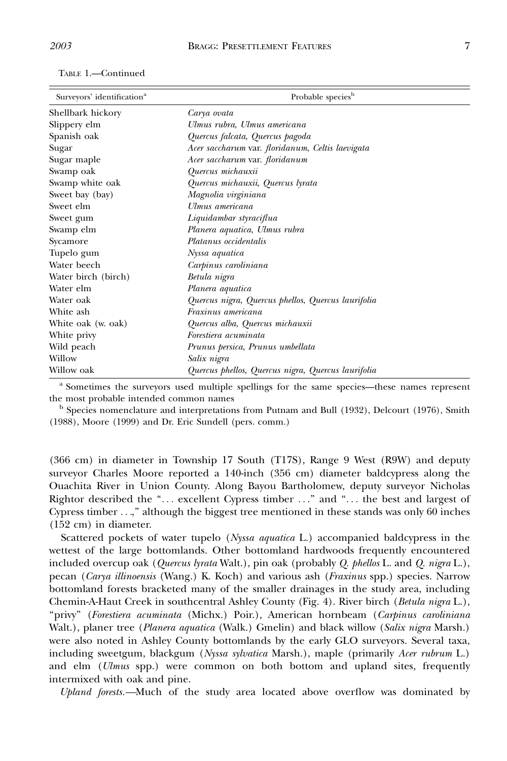| TABLE 1.—Continued |
|--------------------|
|                    |

| Surveyors' identification <sup>a</sup> | Probable species <sup>b</sup>                      |  |  |
|----------------------------------------|----------------------------------------------------|--|--|
| Shellbark hickory                      | Carya ovata                                        |  |  |
| Slippery elm                           | Ulmus rubra, Ulmus americana                       |  |  |
| Spanish oak                            | Quercus falcata, Quercus pagoda                    |  |  |
| Sugar                                  | Acer saccharum var. floridanum, Celtis laevigata   |  |  |
| Sugar maple                            | Acer saccharum var. floridanum                     |  |  |
| Swamp oak                              | Quercus michauxii                                  |  |  |
| Swamp white oak                        | Quercus michauxii, Quercus lyrata                  |  |  |
| Sweet bay (bay)                        | Magnolia virginiana                                |  |  |
| Sweet elm                              | Ulmus americana                                    |  |  |
| Sweet gum                              | Liquidambar styraciflua                            |  |  |
| Swamp elm                              | Planera aquatica, Ulmus rubra                      |  |  |
| Sycamore                               | Platanus occidentalis                              |  |  |
| Tupelo gum                             | Nyssa aquatica                                     |  |  |
| Water beech                            | Carpinus caroliniana                               |  |  |
| Water birch (birch)                    | Betula nigra                                       |  |  |
| Water elm                              | Planera aquatica                                   |  |  |
| Water oak                              | Quercus nigra, Quercus phellos, Quercus laurifolia |  |  |
| White ash                              | Fraxinus americana                                 |  |  |
| White oak (w. oak)                     | Quercus alba, Quercus michauxii                    |  |  |
| White privy                            | Forestiera acuminata                               |  |  |
| Wild peach                             | Prunus persica, Prunus umbellata                   |  |  |
| Willow                                 | Salix nigra                                        |  |  |
| Willow oak                             | Quercus phellos, Quercus nigra, Quercus laurifolia |  |  |

<sup>a</sup> Sometimes the surveyors used multiple spellings for the same species—these names represent the most probable intended common names<br>b Species nomenclature and interpretations from Putnam and Bull (1932), Delcourt (1976), Smith

(1988), Moore (1999) and Dr. Eric Sundell (pers. comm.)

(366 cm) in diameter in Township 17 South (T17S), Range 9 West (R9W) and deputy surveyor Charles Moore reported a 140-inch (356 cm) diameter baldcypress along the Ouachita River in Union County. Along Bayou Bartholomew, deputy surveyor Nicholas Rightor described the "... excellent Cypress timber ..." and "... the best and largest of Cypress timber ...,'' although the biggest tree mentioned in these stands was only 60 inches (152 cm) in diameter.

Scattered pockets of water tupelo (Nyssa *aquatica* L.) accompanied baldcypress in the wettest of the large bottomlands. Other bottomland hardwoods frequently encountered included overcup oak (*Quercus lyrata* Walt.), pin oak (probably  $Q$ . *phellos* L. and  $Q$ . *nigra* L.), pecan (Carya illinoensis (Wang.) K. Koch) and various ash (Fraxinus spp.) species. Narrow bottomland forests bracketed many of the smaller drainages in the study area, including Chemin-A-Haut Creek in southcentral Ashley County (Fig. 4). River birch (Betula nigra L.), ''privy'' (Forestiera acuminata (Michx.) Poir.), American hornbeam (Carpinus caroliniana Walt.), planer tree (Planera aquatica (Walk.) Gmelin) and black willow (Salix nigra Marsh.) were also noted in Ashley County bottomlands by the early GLO surveyors. Several taxa, including sweetgum, blackgum (Nyssa sylvatica Marsh.), maple (primarily Acer rubrum L.) and elm (Ulmus spp.) were common on both bottom and upland sites, frequently intermixed with oak and pine.

Upland forests.—Much of the study area located above overflow was dominated by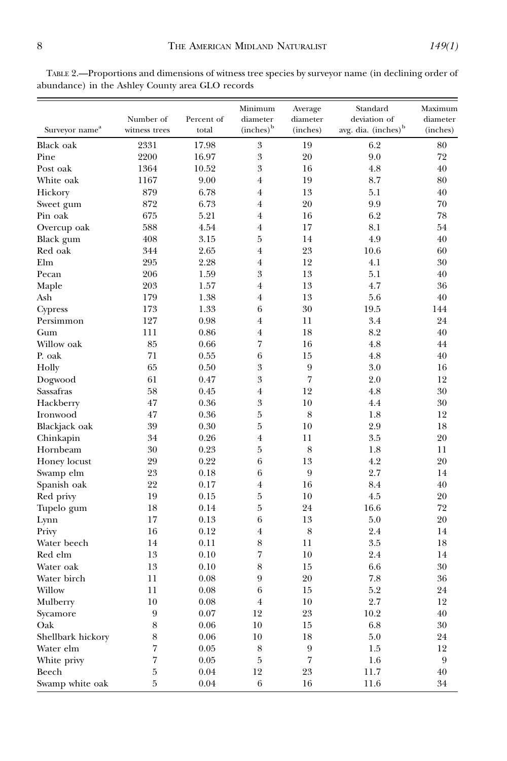TABLE 2.—Proportions and dimensions of witness tree species by surveyor name (in declining order of abundance) in the Ashley County area GLO records

|                            |               |            | Minimum               | Average  | Standard                        | Maximum  |
|----------------------------|---------------|------------|-----------------------|----------|---------------------------------|----------|
|                            | Number of     | Percent of | diameter              | diameter | deviation of                    | diameter |
| Surveyor name <sup>a</sup> | witness trees | total      | (inches) <sup>b</sup> | (inches) | avg. dia. (inches) <sup>b</sup> | (inches) |
| Black oak                  | 2331          | 17.98      | 3                     | 19       | 6.2                             | 80       |
| Pine                       | 2200          | 16.97      | 3                     | 20       | 9.0                             | 72       |
| Post oak                   | 1364          | 10.52      | 3                     | 16       | 4.8                             | 40       |
| White oak                  | 1167          | 9.00       | $\overline{4}$        | 19       | 8.7                             | 80       |
| Hickory                    | 879           | 6.78       | $\overline{4}$        | 13       | 5.1                             | 40       |
| Sweet gum                  | 872           | 6.73       | $\overline{4}$        | 20       | 9.9                             | 70       |
| Pin oak                    | 675           | 5.21       | $\overline{4}$        | 16       | 6.2                             | 78       |
| Overcup oak                | 588           | 4.54       | $\overline{4}$        | 17       | 8.1                             | 54       |
| Black gum                  | 408           | 3.15       | 5                     | 14       | 4.9                             | 40       |
| Red oak                    | 344           | 2.65       | $\overline{4}$        | 23       | 10.6                            | 60       |
| Elm                        | 295           | 2.28       | $\overline{4}$        | 12       | 4.1                             | 30       |
| Pecan                      | 206           | 1.59       | 3                     | 13       | 5.1                             | 40       |
|                            | 203           | 1.57       | $\overline{4}$        | 13       | 4.7                             | 36       |
| Maple<br>Ash               | 179           | 1.38       | $\overline{4}$        | 13       | 5.6                             | 40       |
|                            | 173           | 1.33       | 6                     | 30       | 19.5                            | 144      |
| Cypress                    |               |            |                       |          |                                 |          |
| Persimmon                  | 127           | 0.98       | $\overline{4}$        | 11       | 3.4                             | 24       |
| Gum                        | 111           | 0.86       | $\overline{4}$        | 18       | 8.2                             | 40       |
| Willow oak                 | 85            | 0.66       | 7                     | 16       | 4.8                             | 44       |
| P. oak                     | 71            | 0.55       | 6                     | 15       | 4.8                             | 40       |
| Holly                      | 65            | 0.50       | 3                     | 9        | 3.0                             | 16       |
| Dogwood                    | 61            | 0.47       | 3                     | 7        | 2.0                             | 12       |
| Sassafras                  | 58            | 0.45       | $\overline{4}$        | 12       | 4.8                             | 30       |
| Hackberry                  | 47            | 0.36       | 3                     | 10       | 4.4                             | 30       |
| Ironwood                   | 47            | 0.36       | 5                     | 8        | 1.8                             | 12       |
| Blackjack oak              | 39            | 0.30       | 5                     | 10       | 2.9                             | 18       |
| Chinkapin                  | 34            | 0.26       | $\overline{4}$        | 11       | 3.5                             | 20       |
| Hornbeam                   | 30            | 0.23       | 5                     | 8        | 1.8                             | 11       |
| Honey locust               | 29            | 0.22       | 6                     | 13       | 4.2                             | 20       |
| Swamp elm                  | 23            | 0.18       | 6                     | 9        | 2.7                             | 14       |
| Spanish oak                | 22            | 0.17       | $\overline{4}$        | 16       | 8.4                             | 40       |
| Red privy                  | 19            | 0.15       | 5                     | 10       | 4.5                             | 20       |
| Tupelo gum                 | 18            | 0.14       | 5                     | 24       | 16.6                            | 72       |
| Lynn                       | 17            | 0.13       | 6                     | 13       | 5.0                             | 20       |
| Privy                      | 16            | 0.12       | $\overline{4}$        | 8        | 2.4                             | 14       |
| Water beech                | 14            | 0.11       | 8                     | 11       | 3.5                             | 18       |
| Red elm                    | 13            | 0.10       | 7                     | 10       | 2.4                             | 14       |
| Water oak                  | 13            | 0.10       | 8                     | 15       | 6.6                             | 30       |
| Water birch                | 11            | 0.08       | 9                     | 20       | 7.8                             | 36       |
| Willow                     | 11            | 0.08       | 6                     | 15       | 5.2                             | 24       |
| Mulberry                   | 10            | 0.08       | $\overline{4}$        | 10       | 2.7                             | 12       |
| Sycamore                   | 9             | 0.07       | 12                    | 23       | 10.2                            | 40       |
| Oak                        | 8             | 0.06       | 10                    | 15       | 6.8                             | 30       |
| Shellbark hickory          | 8             | 0.06       | 10                    | 18       | 5.0                             | 24       |
|                            | 7             |            | 8                     | 9        |                                 | 12       |
| Water elm                  | 7             | 0.05       | $\overline{5}$        | 7        | 1.5                             |          |
| White privy                |               | 0.05       |                       |          | 1.6                             | 9        |
| Beech                      | 5             | 0.04       | 12                    | 23       | 11.7                            | 40       |
| Swamp white oak            | 5             | 0.04       | 6                     | 16       | 11.6                            | 34       |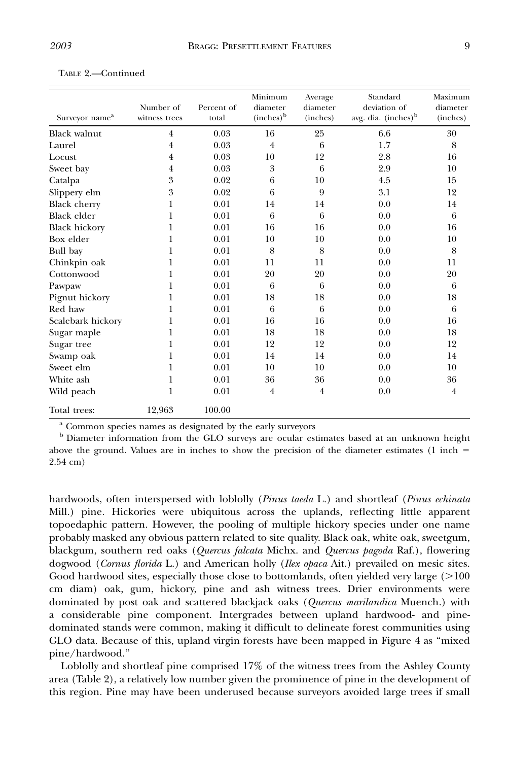| Surveyor name <sup>a</sup> | Number of<br>witness trees | Percent of<br>total | Minimum<br>diameter<br>(inches) <sup>b</sup> | Average<br>diameter<br>(inches) | Standard<br>deviation of<br>avg. dia. (inches) <sup>b</sup> | Maximum<br>diameter<br>(inches) |
|----------------------------|----------------------------|---------------------|----------------------------------------------|---------------------------------|-------------------------------------------------------------|---------------------------------|
| <b>Black walnut</b>        | $\overline{4}$             | 0.03                | 16                                           | 25                              | 6.6                                                         | 30                              |
| Laurel                     | $\overline{4}$             | 0.03                | $\overline{4}$                               | 6                               | 1.7                                                         | 8                               |
| Locust                     | $\overline{4}$             | 0.03                | 10                                           | 12                              | 2.8                                                         | 16                              |
| Sweet bay                  | $\overline{4}$             | 0.03                | 3                                            | 6                               | 2.9                                                         | 10                              |
| Catalpa                    | 3                          | 0.02                | 6                                            | 10                              | 4.5                                                         | 15                              |
| Slippery elm               | 3                          | 0.02                | 6                                            | 9                               | 3.1                                                         | 12                              |
| <b>Black cherry</b>        | 1                          | 0.01                | 14                                           | 14                              | 0.0                                                         | 14                              |
| <b>Black elder</b>         | 1                          | 0.01                | 6                                            | 6                               | 0.0                                                         | 6                               |
| <b>Black hickory</b>       | 1                          | 0.01                | 16                                           | 16                              | 0.0                                                         | 16                              |
| Box elder                  | 1                          | 0.01                | 10                                           | 10                              | 0.0                                                         | 10                              |
| <b>Bull</b> bay            | 1                          | 0.01                | 8                                            | 8                               | 0.0                                                         | 8                               |
| Chinkpin oak               | 1                          | 0.01                | 11                                           | 11                              | 0.0                                                         | 11                              |
| Cottonwood                 | 1                          | 0.01                | 20                                           | 20                              | 0.0                                                         | 20                              |
| Pawpaw                     | 1                          | 0.01                | 6                                            | 6                               | 0.0                                                         | 6                               |
| Pignut hickory             | 1                          | 0.01                | 18                                           | 18                              | 0.0                                                         | 18                              |
| Red haw                    | 1                          | 0.01                | 6                                            | 6                               | 0.0                                                         | 6                               |
| Scalebark hickory          | 1                          | 0.01                | 16                                           | 16                              | 0.0                                                         | 16                              |
| Sugar maple                | 1                          | 0.01                | 18                                           | 18                              | 0.0                                                         | 18                              |
| Sugar tree                 | 1                          | 0.01                | 12                                           | 12                              | 0.0                                                         | 12                              |
| Swamp oak                  | 1                          | 0.01                | 14                                           | 14                              | 0.0                                                         | 14                              |
| Sweet elm                  | 1                          | 0.01                | 10                                           | 10                              | 0.0                                                         | 10                              |
| White ash                  | 1                          | 0.01                | 36                                           | 36                              | 0.0                                                         | 36                              |
| Wild peach                 | 1                          | 0.01                | $\overline{4}$                               | $\overline{4}$                  | 0.0                                                         | $\overline{4}$                  |
| Total trees:               | 12,963                     | 100.00              |                                              |                                 |                                                             |                                 |

TABLE 2.—Continued

<sup>a</sup> Common species names as designated by the early surveyors

<sup>b</sup> Diameter information from the GLO surveys are ocular estimates based at an unknown height above the ground. Values are in inches to show the precision of the diameter estimates (1 inch  $=$ 2.54 cm)

hardwoods, often interspersed with loblolly (Pinus taeda L.) and shortleaf (Pinus echinata Mill.) pine. Hickories were ubiquitous across the uplands, reflecting little apparent topoedaphic pattern. However, the pooling of multiple hickory species under one name probably masked any obvious pattern related to site quality. Black oak, white oak, sweetgum, blackgum, southern red oaks (Quercus falcata Michx. and Quercus pagoda Raf.), flowering dogwood (*Cornus florida* L.) and American holly (*Ilex opaca* Ait.) prevailed on mesic sites. Good hardwood sites, especially those close to bottomlands, often yielded very large  $(>100$ cm diam) oak, gum, hickory, pine and ash witness trees. Drier environments were dominated by post oak and scattered blackjack oaks (Quercus marilandica Muench.) with a considerable pine component. Intergrades between upland hardwood- and pinedominated stands were common, making it difficult to delineate forest communities using GLO data. Because of this, upland virgin forests have been mapped in Figure 4 as ''mixed pine/hardwood.''

Loblolly and shortleaf pine comprised 17% of the witness trees from the Ashley County area (Table 2), a relatively low number given the prominence of pine in the development of this region. Pine may have been underused because surveyors avoided large trees if small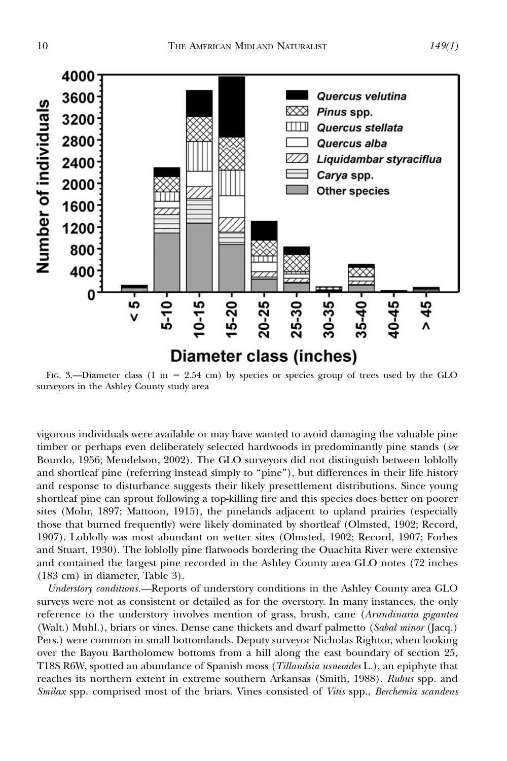

FIG. 3.—Diameter class (1 in =  $2.54$  cm) by species or species group of trees used by the GLO surveyors in the Ashley County study area

vigorous individuals were available or may have wanted to avoid damaging the valuable pine timber or perhaps even deliberately selected hardwoods in predominantly pine stands (see Bourdo, 1956; Mendelson, 2002). The GLO surveyors did not distinguish between loblolly and shortleaf pine (referring instead simply to "pine"), but differences in their life history and response to disturbance suggests their likely presettlement distributions. Since young shortleaf pine can sprout following a top-killing fire and this species does better on poorer sites (Mohr, 1897; Mattoon, 1915), the pinelands adjacent to upland prairies (especially those that burned frequently) were likely dominated by shortleaf (Olmsted, 1902; Record, 1907). Loblolly was most abundant on wetter sites (Olmsted, 1902; Record, 1907; Forbes and Stuart, 1930). The loblolly pine flatwoods bordering the Ouachita River were extensive and contained the largest pine recorded in the Ashley County area GLO notes (72 inches (183 cm) in diameter, Table 3).

Understory conditions.—Reports of understory conditions in the Ashley County area GLO surveys were not as consistent or detailed as for the overstory. In many instances, the only reference to the understory involves mention of grass, brush, cane (Arundinaria gigantea (Walt.) Muhl.), briars or vines. Dense cane thickets and dwarf palmetto (Sabal minor (Jacq.) Pers.) were common in small bottomlands. Deputy surveyor Nicholas Rightor, when looking over the Bayou Bartholomew bottoms from a hill along the east boundary of section 25, T18S R6W, spotted an abundance of Spanish moss (Tillandsia usneoides L.), an epiphyte that reaches its northern extent in extreme southern Arkansas (Smith, 1988). Rubus spp. and Smilax spp. comprised most of the briars. Vines consisted of Vitis spp., Berchemia scandens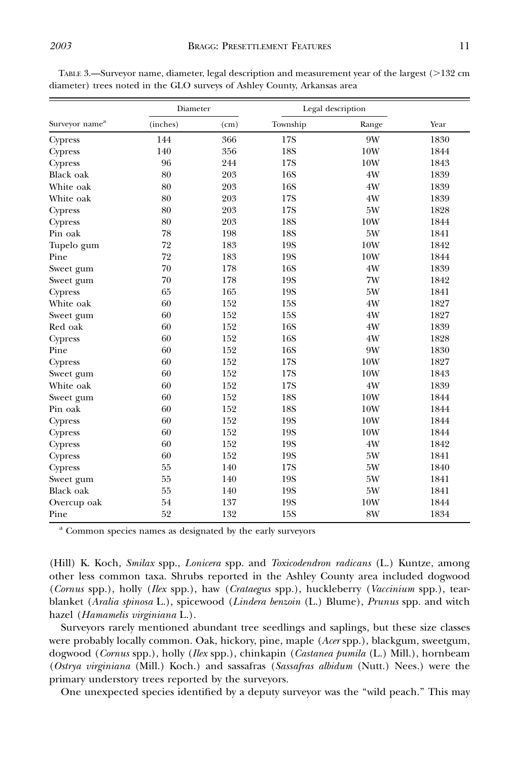| Surveyor name <sup>a</sup> | Diameter |      |            | Legal description |      |
|----------------------------|----------|------|------------|-------------------|------|
|                            | (inches) | (cm) | Township   | Range             | Year |
| Cypress                    | 144      | 366  | 17S        | 9W                | 1830 |
| Cypress                    | 140      | 356  | <b>18S</b> | 10W               | 1844 |
| Cypress                    | 96       | 244  | 17S        | 10W               | 1843 |
| <b>Black</b> oak           | 80       | 203  | 16S        | 4W                | 1839 |
| White oak                  | 80       | 203  | 16S        | 4W                | 1839 |
| White oak                  | 80       | 203  | 17S        | 4W                | 1839 |
| <b>Cypress</b>             | 80       | 203  | 17S        | 5W                | 1828 |
| Cypress                    | 80       | 203  | <b>18S</b> | 10W               | 1844 |
| Pin oak                    | 78       | 198  | <b>18S</b> | 5W                | 1841 |
| Tupelo gum                 | 72       | 183  | <b>19S</b> | 10W               | 1842 |
| Pine                       | 72       | 183  | <b>19S</b> | 10W               | 1844 |
| Sweet gum                  | 70       | 178  | 16S        | 4W                | 1839 |
| Sweet gum                  | 70       | 178  | 19S        | 7W                | 1842 |
| Cypress                    | 65       | 165  | 19S        | 5W                | 1841 |
| White oak                  | 60       | 152  | <b>15S</b> | 4W                | 1827 |
| Sweet gum                  | 60       | 152  | 15S        | 4W                | 1827 |
| Red oak                    | 60       | 152  | 16S        | 4W                | 1839 |
| Cypress                    | 60       | 152  | 16S        | 4W                | 1828 |
| Pine                       | 60       | 152  | 16S        | 9W                | 1830 |
| Cypress                    | 60       | 152  | 17S        | 10W               | 1827 |
| Sweet gum                  | 60       | 152  | 17S        | 10W               | 1843 |
| White oak                  | 60       | 152  | 17S        | 4W                | 1839 |
| Sweet gum                  | 60       | 152  | 18S        | 10W               | 1844 |
| Pin oak                    | 60       | 152  | <b>18S</b> | 10W               | 1844 |
| Cypress                    | 60       | 152  | <b>19S</b> | 10W               | 1844 |
| Cypress                    | 60       | 152  | 19S        | 10W               | 1844 |
| Cypress                    | 60       | 152  | 19S        | 4W                | 1842 |
| Cypress                    | 60       | 152  | 19S        | 5W                | 1841 |
| Cypress                    | 55       | 140  | 17S        | 5W                | 1840 |
| Sweet gum                  | 55       | 140  | 19S        | 5W                | 1841 |
| Black oak                  | 55       | 140  | 19S        | 5W                | 1841 |
| Overcup oak                | 54       | 137  | <b>19S</b> | 10W               | 1844 |
| Pine                       | 52       | 132  | <b>15S</b> | 8W                | 1834 |

TABLE 3.—Surveyor name, diameter, legal description and measurement year of the largest (>132 cm diameter) trees noted in the GLO surveys of Ashley County, Arkansas area

<sup>a</sup> Common species names as designated by the early surveyors

(Hill) K. Koch, Smilax spp., Lonicera spp. and Toxicodendron radicans (L.) Kuntze, among other less common taxa. Shrubs reported in the Ashley County area included dogwood (Cornus spp.), holly (*Ilex* spp.), haw (Crataegus spp.), huckleberry (Vaccinium spp.), tearblanket (Aralia spinosa L.), spicewood (Lindera benzoin (L.) Blume), Prunus spp. and witch hazel (Hamamelis virginiana L.).

Surveyors rarely mentioned abundant tree seedlings and saplings, but these size classes were probably locally common. Oak, hickory, pine, maple (Acer spp.), blackgum, sweetgum, dogwood (Cornus spp.), holly (Ilex spp.), chinkapin (Castanea pumila (L.) Mill.), hornbeam (Ostrya virginiana (Mill.) Koch.) and sassafras (Sassafras albidum (Nutt.) Nees.) were the primary understory trees reported by the surveyors.

One unexpected species identified by a deputy surveyor was the ''wild peach.'' This may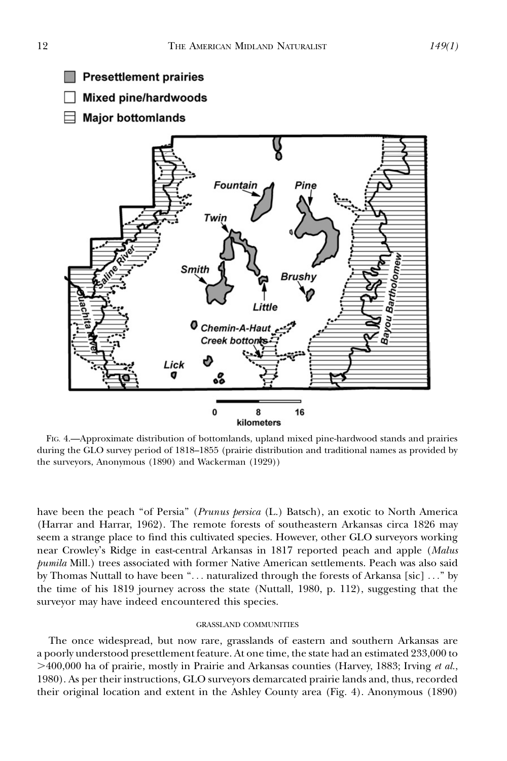

**Mixed pine/hardwoods** 

 $\equiv$  Major bottomlands



FIG. 4.—Approximate distribution of bottomlands, upland mixed pine-hardwood stands and prairies during the GLO survey period of 1818–1855 (prairie distribution and traditional names as provided by the surveyors, Anonymous (1890) and Wackerman (1929))

have been the peach "of Persia" (Prunus persica (L.) Batsch), an exotic to North America (Harrar and Harrar, 1962). The remote forests of southeastern Arkansas circa 1826 may seem a strange place to find this cultivated species. However, other GLO surveyors working near Crowley's Ridge in east-central Arkansas in 1817 reported peach and apple (Malus pumila Mill.) trees associated with former Native American settlements. Peach was also said by Thomas Nuttall to have been ''... naturalized through the forests of Arkansa [sic] ...'' by the time of his 1819 journey across the state (Nuttall, 1980, p. 112), suggesting that the surveyor may have indeed encountered this species.

#### GRASSLAND COMMUNITIES

The once widespread, but now rare, grasslands of eastern and southern Arkansas are a poorly understood presettlement feature. At one time, the state had an estimated 233,000 to  $>$ 400,000 ha of prairie, mostly in Prairie and Arkansas counties (Harvey, 1883; Irving *et al.*, 1980). As per their instructions, GLO surveyors demarcated prairie lands and, thus, recorded their original location and extent in the Ashley County area (Fig. 4). Anonymous (1890)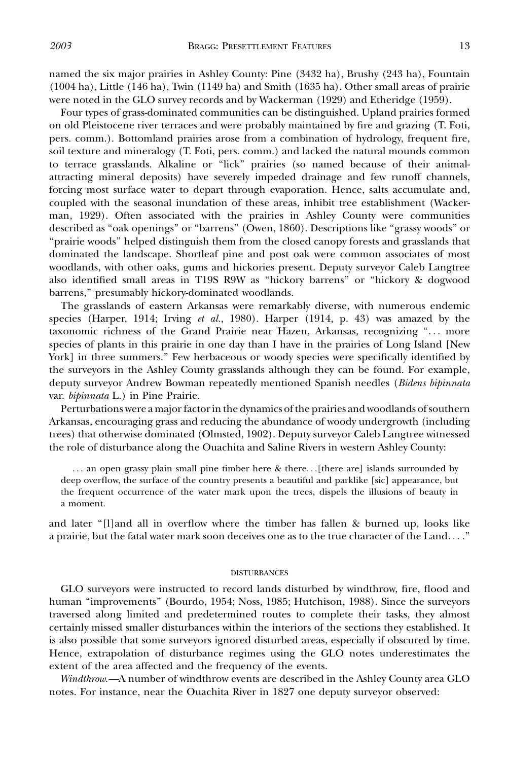named the six major prairies in Ashley County: Pine (3432 ha), Brushy (243 ha), Fountain (1004 ha), Little (146 ha), Twin (1149 ha) and Smith (1635 ha). Other small areas of prairie were noted in the GLO survey records and by Wackerman (1929) and Etheridge (1959).

Four types of grass-dominated communities can be distinguished. Upland prairies formed on old Pleistocene river terraces and were probably maintained by fire and grazing (T. Foti, pers. comm.). Bottomland prairies arose from a combination of hydrology, frequent fire, soil texture and mineralogy (T. Foti, pers. comm.) and lacked the natural mounds common to terrace grasslands. Alkaline or ''lick'' prairies (so named because of their animalattracting mineral deposits) have severely impeded drainage and few runoff channels, forcing most surface water to depart through evaporation. Hence, salts accumulate and, coupled with the seasonal inundation of these areas, inhibit tree establishment (Wackerman, 1929). Often associated with the prairies in Ashley County were communities described as ''oak openings'' or ''barrens'' (Owen, 1860). Descriptions like ''grassy woods'' or ''prairie woods'' helped distinguish them from the closed canopy forests and grasslands that dominated the landscape. Shortleaf pine and post oak were common associates of most woodlands, with other oaks, gums and hickories present. Deputy surveyor Caleb Langtree also identified small areas in T19S R9W as ''hickory barrens'' or ''hickory & dogwood barrens,'' presumably hickory-dominated woodlands.

The grasslands of eastern Arkansas were remarkably diverse, with numerous endemic species (Harper, 1914; Irving et al., 1980). Harper (1914, p. 43) was amazed by the taxonomic richness of the Grand Prairie near Hazen, Arkansas, recognizing ''... more species of plants in this prairie in one day than I have in the prairies of Long Island [New York] in three summers." Few herbaceous or woody species were specifically identified by the surveyors in the Ashley County grasslands although they can be found. For example, deputy surveyor Andrew Bowman repeatedly mentioned Spanish needles (Bidens bipinnata var. bipinnata L.) in Pine Prairie.

Perturbations were a major factor in the dynamics of the prairies and woodlands of southern Arkansas, encouraging grass and reducing the abundance of woody undergrowth (including trees) that otherwise dominated (Olmsted, 1902). Deputy surveyor Caleb Langtree witnessed the role of disturbance along the Ouachita and Saline Rivers in western Ashley County:

... an open grassy plain small pine timber here & there...[there are] islands surrounded by deep overflow, the surface of the country presents a beautiful and parklike [sic] appearance, but the frequent occurrence of the water mark upon the trees, dispels the illusions of beauty in a moment.

and later ''[l]and all in overflow where the timber has fallen & burned up, looks like a prairie, but the fatal water mark soon deceives one as to the true character of the Land... .''

### DISTURBANCES

GLO surveyors were instructed to record lands disturbed by windthrow, fire, flood and human ''improvements'' (Bourdo, 1954; Noss, 1985; Hutchison, 1988). Since the surveyors traversed along limited and predetermined routes to complete their tasks, they almost certainly missed smaller disturbances within the interiors of the sections they established. It is also possible that some surveyors ignored disturbed areas, especially if obscured by time. Hence, extrapolation of disturbance regimes using the GLO notes underestimates the extent of the area affected and the frequency of the events.

Windthrow.—A number of windthrow events are described in the Ashley County area GLO notes. For instance, near the Ouachita River in 1827 one deputy surveyor observed: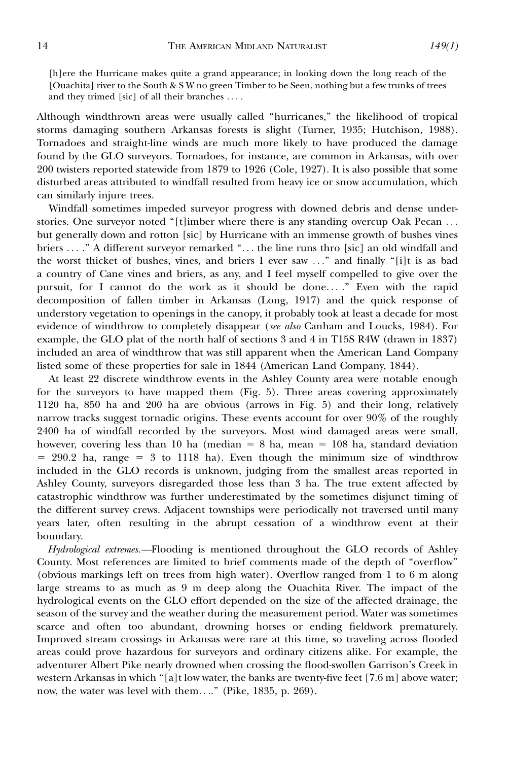[h]ere the Hurricane makes quite a grand appearance; in looking down the long reach of the [Ouachita] river to the South & S W no green Timber to be Seen, nothing but a few trunks of trees and they trimed [sic] of all their branches ... .

Although windthrown areas were usually called ''hurricanes,'' the likelihood of tropical storms damaging southern Arkansas forests is slight (Turner, 1935; Hutchison, 1988). Tornadoes and straight-line winds are much more likely to have produced the damage found by the GLO surveyors. Tornadoes, for instance, are common in Arkansas, with over 200 twisters reported statewide from 1879 to 1926 (Cole, 1927). It is also possible that some disturbed areas attributed to windfall resulted from heavy ice or snow accumulation, which can similarly injure trees.

Windfall sometimes impeded surveyor progress with downed debris and dense understories. One surveyor noted "[t]imber where there is any standing overcup Oak Pecan ... but generally down and rotton [sic] by Hurricane with an immense growth of bushes vines briers ... ." A different surveyor remarked "... the line runs thro [sic] an old windfall and the worst thicket of bushes, vines, and briers I ever saw ...'' and finally ''[i]t is as bad a country of Cane vines and briers, as any, and I feel myself compelled to give over the pursuit, for I cannot do the work as it should be done... .'' Even with the rapid decomposition of fallen timber in Arkansas (Long, 1917) and the quick response of understory vegetation to openings in the canopy, it probably took at least a decade for most evidence of windthrow to completely disappear (see also Canham and Loucks, 1984). For example, the GLO plat of the north half of sections 3 and 4 in T15S R4W (drawn in 1837) included an area of windthrow that was still apparent when the American Land Company listed some of these properties for sale in 1844 (American Land Company, 1844).

At least 22 discrete windthrow events in the Ashley County area were notable enough for the surveyors to have mapped them (Fig. 5). Three areas covering approximately 1120 ha, 850 ha and 200 ha are obvious (arrows in Fig. 5) and their long, relatively narrow tracks suggest tornadic origins. These events account for over 90% of the roughly 2400 ha of windfall recorded by the surveyors. Most wind damaged areas were small, however, covering less than 10 ha (median  $= 8$  ha, mean  $= 108$  ha, standard deviation  $= 290.2$  ha, range  $= 3$  to 1118 ha). Even though the minimum size of windthrow included in the GLO records is unknown, judging from the smallest areas reported in Ashley County, surveyors disregarded those less than 3 ha. The true extent affected by catastrophic windthrow was further underestimated by the sometimes disjunct timing of the different survey crews. Adjacent townships were periodically not traversed until many years later, often resulting in the abrupt cessation of a windthrow event at their boundary.

Hydrological extremes.—Flooding is mentioned throughout the GLO records of Ashley County. Most references are limited to brief comments made of the depth of ''overflow'' (obvious markings left on trees from high water). Overflow ranged from 1 to 6 m along large streams to as much as 9 m deep along the Ouachita River. The impact of the hydrological events on the GLO effort depended on the size of the affected drainage, the season of the survey and the weather during the measurement period. Water was sometimes scarce and often too abundant, drowning horses or ending fieldwork prematurely. Improved stream crossings in Arkansas were rare at this time, so traveling across flooded areas could prove hazardous for surveyors and ordinary citizens alike. For example, the adventurer Albert Pike nearly drowned when crossing the flood-swollen Garrison's Creek in western Arkansas in which "[a]t low water, the banks are twenty-five feet [7.6 m] above water; now, the water was level with them....'' (Pike, 1835, p. 269).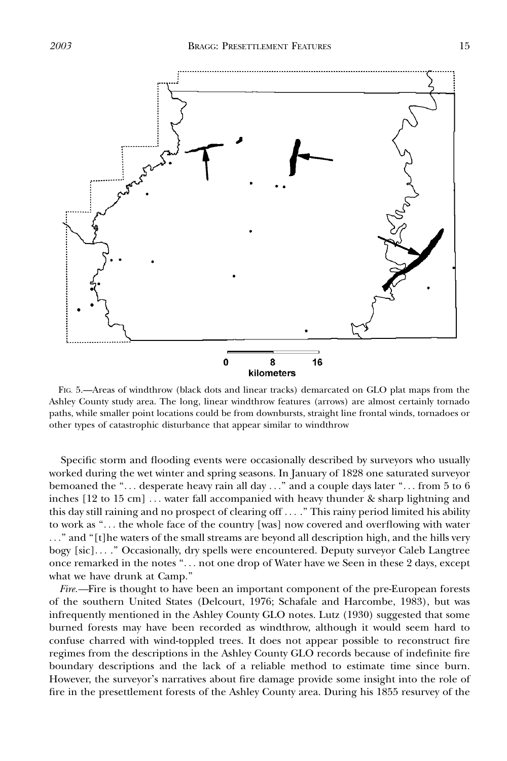

FIG. 5.—Areas of windthrow (black dots and linear tracks) demarcated on GLO plat maps from the Ashley County study area. The long, linear windthrow features (arrows) are almost certainly tornado paths, while smaller point locations could be from downbursts, straight line frontal winds, tornadoes or other types of catastrophic disturbance that appear similar to windthrow

Specific storm and flooding events were occasionally described by surveyors who usually worked during the wet winter and spring seasons. In January of 1828 one saturated surveyor bemoaned the "... desperate heavy rain all day ..." and a couple days later "... from 5 to 6 inches [12 to 15 cm] ... water fall accompanied with heavy thunder & sharp lightning and this day still raining and no prospect of clearing off ... .'' This rainy period limited his ability to work as ''... the whole face of the country [was] now covered and overflowing with water ...'' and ''[t]he waters of the small streams are beyond all description high, and the hills very bogy [sic]... .'' Occasionally, dry spells were encountered. Deputy surveyor Caleb Langtree once remarked in the notes ''... not one drop of Water have we Seen in these 2 days, except what we have drunk at Camp.''

Fire.—Fire is thought to have been an important component of the pre-European forests of the southern United States (Delcourt, 1976; Schafale and Harcombe, 1983), but was infrequently mentioned in the Ashley County GLO notes. Lutz (1930) suggested that some burned forests may have been recorded as windthrow, although it would seem hard to confuse charred with wind-toppled trees. It does not appear possible to reconstruct fire regimes from the descriptions in the Ashley County GLO records because of indefinite fire boundary descriptions and the lack of a reliable method to estimate time since burn. However, the surveyor's narratives about fire damage provide some insight into the role of fire in the presettlement forests of the Ashley County area. During his 1855 resurvey of the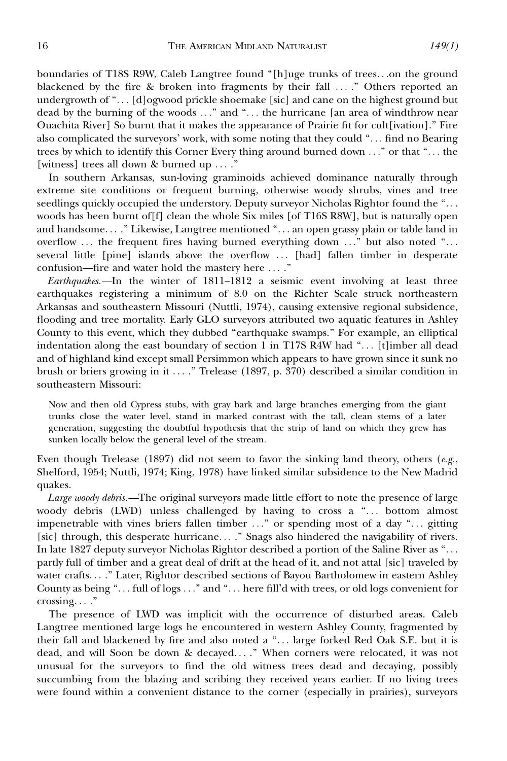boundaries of T18S R9W, Caleb Langtree found ''[h]uge trunks of trees...on the ground blackened by the fire & broken into fragments by their fall  $\dots$ ." Others reported an undergrowth of ''... [d]ogwood prickle shoemake [sic] and cane on the highest ground but dead by the burning of the woods ...'' and ''... the hurricane [an area of windthrow near Ouachita River] So burnt that it makes the appearance of Prairie fit for cult[ivation].'' Fire

also complicated the surveyors' work, with some noting that they could ''... find no Bearing trees by which to identify this Corner Every thing around burned down ...'' or that ''... the [witness] trees all down & burned up ... .'' In southern Arkansas, sun-loving graminoids achieved dominance naturally through

extreme site conditions or frequent burning, otherwise woody shrubs, vines and tree seedlings quickly occupied the understory. Deputy surveyor Nicholas Rightor found the "... woods has been burnt of [f] clean the whole Six miles [of T16S R8W], but is naturally open and handsome... .'' Likewise, Langtree mentioned ''... an open grassy plain or table land in overflow ... the frequent fires having burned everything down ...'' but also noted ''... several little [pine] islands above the overflow ... [had] fallen timber in desperate confusion—fire and water hold the mastery here ... .''

Earthquakes.—In the winter of 1811–1812 a seismic event involving at least three earthquakes registering a minimum of 8.0 on the Richter Scale struck northeastern Arkansas and southeastern Missouri (Nuttli, 1974), causing extensive regional subsidence, flooding and tree mortality. Early GLO surveyors attributed two aquatic features in Ashley County to this event, which they dubbed ''earthquake swamps.'' For example, an elliptical indentation along the east boundary of section 1 in T17S R4W had ''... [t]imber all dead and of highland kind except small Persimmon which appears to have grown since it sunk no brush or briers growing in it ... .'' Trelease (1897, p. 370) described a similar condition in southeastern Missouri:

Now and then old Cypress stubs, with gray bark and large branches emerging from the giant trunks close the water level, stand in marked contrast with the tall, clean stems of a later generation, suggesting the doubtful hypothesis that the strip of land on which they grew has sunken locally below the general level of the stream.

Even though Trelease (1897) did not seem to favor the sinking land theory, others (e.g., Shelford, 1954; Nuttli, 1974; King, 1978) have linked similar subsidence to the New Madrid quakes.

Large woody debris.—The original surveyors made little effort to note the presence of large woody debris (LWD) unless challenged by having to cross a ''... bottom almost impenetrable with vines briers fallen timber ...'' or spending most of a day ''... gitting [sic] through, this desperate hurricane... .'' Snags also hindered the navigability of rivers. In late 1827 deputy surveyor Nicholas Rightor described a portion of the Saline River as ''... partly full of timber and a great deal of drift at the head of it, and not attal [sic] traveled by water crafts... .'' Later, Rightor described sections of Bayou Bartholomew in eastern Ashley County as being ''... full of logs ...'' and ''... here fill'd with trees, or old logs convenient for crossing... .''

The presence of LWD was implicit with the occurrence of disturbed areas. Caleb Langtree mentioned large logs he encountered in western Ashley County, fragmented by their fall and blackened by fire and also noted a ''... large forked Red Oak S.E. but it is dead, and will Soon be down & decayed... .'' When corners were relocated, it was not unusual for the surveyors to find the old witness trees dead and decaying, possibly succumbing from the blazing and scribing they received years earlier. If no living trees were found within a convenient distance to the corner (especially in prairies), surveyors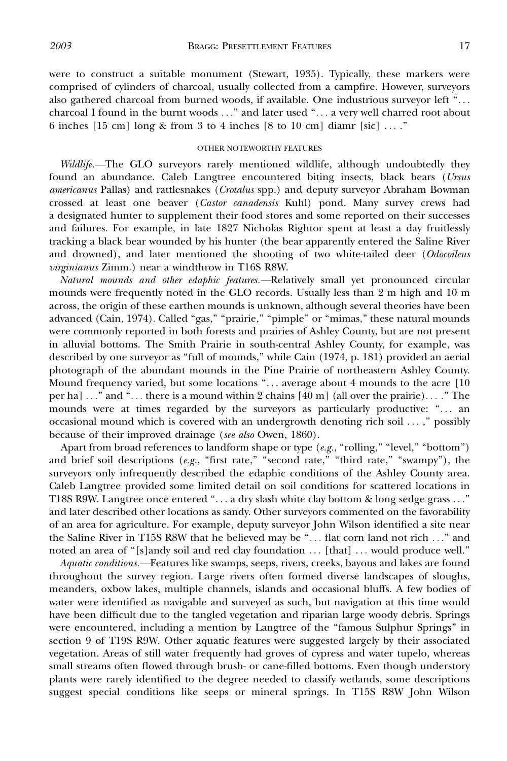were to construct a suitable monument (Stewart, 1935). Typically, these markers were comprised of cylinders of charcoal, usually collected from a campfire. However, surveyors also gathered charcoal from burned woods, if available. One industrious surveyor left "... charcoal I found in the burnt woods ...'' and later used ''... a very well charred root about 6 inches [15 cm] long & from 3 to 4 inches [8 to 10 cm] diamr [sic] ...."

#### OTHER NOTEWORTHY FEATURES

Wildlife.—The GLO surveyors rarely mentioned wildlife, although undoubtedly they found an abundance. Caleb Langtree encountered biting insects, black bears (Ursus americanus Pallas) and rattlesnakes (Crotalus spp.) and deputy surveyor Abraham Bowman crossed at least one beaver (Castor canadensis Kuhl) pond. Many survey crews had a designated hunter to supplement their food stores and some reported on their successes and failures. For example, in late 1827 Nicholas Rightor spent at least a day fruitlessly tracking a black bear wounded by his hunter (the bear apparently entered the Saline River and drowned), and later mentioned the shooting of two white-tailed deer (Odocoileus virginianus Zimm.) near a windthrow in T16S R8W.

Natural mounds and other edaphic features.—Relatively small yet pronounced circular mounds were frequently noted in the GLO records. Usually less than 2 m high and 10 m across, the origin of these earthen mounds is unknown, although several theories have been advanced (Cain, 1974). Called "gas," "prairie," "pimple" or "mimas," these natural mounds were commonly reported in both forests and prairies of Ashley County, but are not present in alluvial bottoms. The Smith Prairie in south-central Ashley County, for example, was described by one surveyor as ''full of mounds,'' while Cain (1974, p. 181) provided an aerial photograph of the abundant mounds in the Pine Prairie of northeastern Ashley County. Mound frequency varied, but some locations "... average about 4 mounds to the acre [10] per ha]  $\dots$ " and " $\dots$  there is a mound within 2 chains [40 m] (all over the prairie)... ." The mounds were at times regarded by the surveyors as particularly productive: "... an occasional mound which is covered with an undergrowth denoting rich soil ... ,'' possibly because of their improved drainage (see also Owen, 1860).

Apart from broad references to landform shape or type (e.g., "rolling," "level," "bottom") and brief soil descriptions (e.g., "first rate," "second rate," "third rate," "swampy"), the surveyors only infrequently described the edaphic conditions of the Ashley County area. Caleb Langtree provided some limited detail on soil conditions for scattered locations in T18S R9W. Langtree once entered ''... a dry slash white clay bottom & long sedge grass ...'' and later described other locations as sandy. Other surveyors commented on the favorability of an area for agriculture. For example, deputy surveyor John Wilson identified a site near the Saline River in T15S R8W that he believed may be ''... flat corn land not rich ...'' and noted an area of ''[s]andy soil and red clay foundation ... [that] ... would produce well.''

Aquatic conditions.—Features like swamps, seeps, rivers, creeks, bayous and lakes are found throughout the survey region. Large rivers often formed diverse landscapes of sloughs, meanders, oxbow lakes, multiple channels, islands and occasional bluffs. A few bodies of water were identified as navigable and surveyed as such, but navigation at this time would have been difficult due to the tangled vegetation and riparian large woody debris. Springs were encountered, including a mention by Langtree of the ''famous Sulphur Springs'' in section 9 of T19S R9W. Other aquatic features were suggested largely by their associated vegetation. Areas of still water frequently had groves of cypress and water tupelo, whereas small streams often flowed through brush- or cane-filled bottoms. Even though understory plants were rarely identified to the degree needed to classify wetlands, some descriptions suggest special conditions like seeps or mineral springs. In T15S R8W John Wilson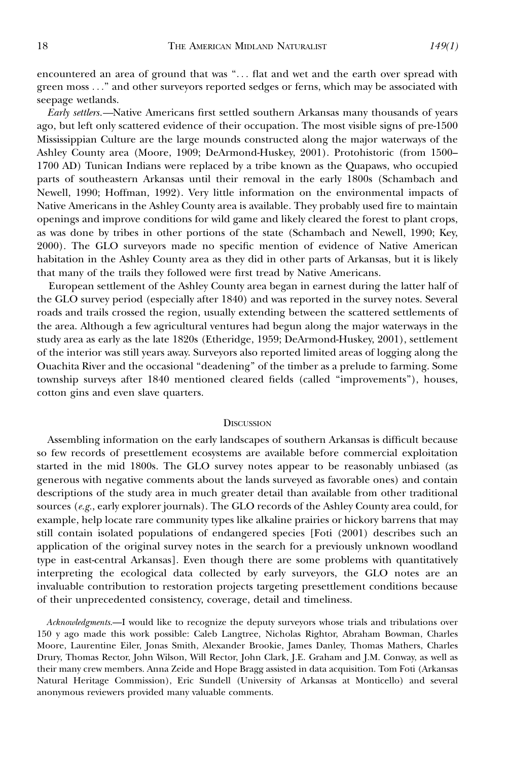encountered an area of ground that was ''... flat and wet and the earth over spread with green moss ...'' and other surveyors reported sedges or ferns, which may be associated with seepage wetlands.

Early settlers.—Native Americans first settled southern Arkansas many thousands of years ago, but left only scattered evidence of their occupation. The most visible signs of pre-1500 Mississippian Culture are the large mounds constructed along the major waterways of the Ashley County area (Moore, 1909; DeArmond-Huskey, 2001). Protohistoric (from 1500– 1700 AD) Tunican Indians were replaced by a tribe known as the Quapaws, who occupied parts of southeastern Arkansas until their removal in the early 1800s (Schambach and Newell, 1990; Hoffman, 1992). Very little information on the environmental impacts of Native Americans in the Ashley County area is available. They probably used fire to maintain openings and improve conditions for wild game and likely cleared the forest to plant crops, as was done by tribes in other portions of the state (Schambach and Newell, 1990; Key, 2000). The GLO surveyors made no specific mention of evidence of Native American habitation in the Ashley County area as they did in other parts of Arkansas, but it is likely that many of the trails they followed were first tread by Native Americans.

European settlement of the Ashley County area began in earnest during the latter half of the GLO survey period (especially after 1840) and was reported in the survey notes. Several roads and trails crossed the region, usually extending between the scattered settlements of the area. Although a few agricultural ventures had begun along the major waterways in the study area as early as the late 1820s (Etheridge, 1959; DeArmond-Huskey, 2001), settlement of the interior was still years away. Surveyors also reported limited areas of logging along the Ouachita River and the occasional ''deadening'' of the timber as a prelude to farming. Some township surveys after 1840 mentioned cleared fields (called ''improvements''), houses, cotton gins and even slave quarters.

#### **DISCUSSION**

Assembling information on the early landscapes of southern Arkansas is difficult because so few records of presettlement ecosystems are available before commercial exploitation started in the mid 1800s. The GLO survey notes appear to be reasonably unbiased (as generous with negative comments about the lands surveyed as favorable ones) and contain descriptions of the study area in much greater detail than available from other traditional sources ( $e.g.,$  early explorer journals). The GLO records of the Ashley County area could, for example, help locate rare community types like alkaline prairies or hickory barrens that may still contain isolated populations of endangered species [Foti (2001) describes such an application of the original survey notes in the search for a previously unknown woodland type in east-central Arkansas]. Even though there are some problems with quantitatively interpreting the ecological data collected by early surveyors, the GLO notes are an invaluable contribution to restoration projects targeting presettlement conditions because of their unprecedented consistency, coverage, detail and timeliness.

Acknowledgments.—I would like to recognize the deputy surveyors whose trials and tribulations over 150 y ago made this work possible: Caleb Langtree, Nicholas Rightor, Abraham Bowman, Charles Moore, Laurentine Eiler, Jonas Smith, Alexander Brookie, James Danley, Thomas Mathers, Charles Drury, Thomas Rector, John Wilson, Will Rector, John Clark, J.E. Graham and J.M. Conway, as well as their many crew members. Anna Zeide and Hope Bragg assisted in data acquisition. Tom Foti (Arkansas Natural Heritage Commission), Eric Sundell (University of Arkansas at Monticello) and several anonymous reviewers provided many valuable comments.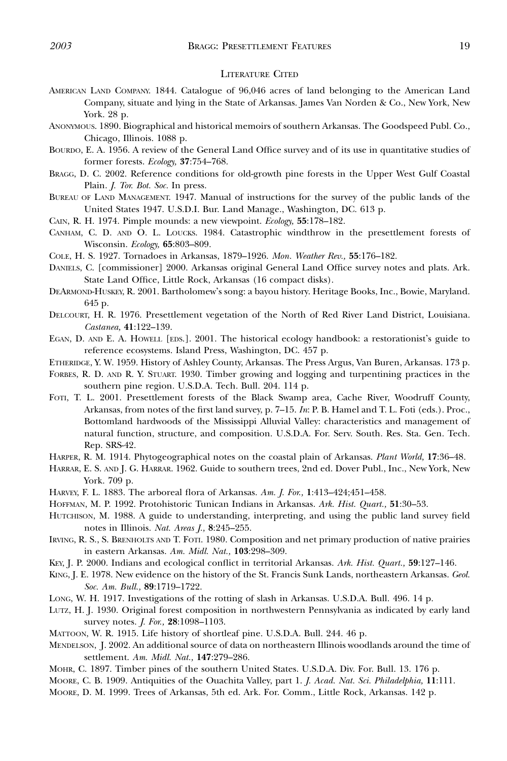# LITERATURE CITED

- AMERICAN LAND COMPANY. 1844. Catalogue of 96,046 acres of land belonging to the American Land Company, situate and lying in the State of Arkansas. James Van Norden & Co., New York, New York. 28 p.
- ANONYMOUS. 1890. Biographical and historical memoirs of southern Arkansas. The Goodspeed Publ. Co., Chicago, Illinois. 1088 p.
- BOURDO, E. A. 1956. A review of the General Land Office survey and of its use in quantitative studies of former forests. Ecology, 37:754–768.
- BRAGG, D. C. 2002. Reference conditions for old-growth pine forests in the Upper West Gulf Coastal Plain. J. Tor. Bot. Soc. In press.
- BUREAU OF LAND MANAGEMENT. 1947. Manual of instructions for the survey of the public lands of the United States 1947. U.S.D.I. Bur. Land Manage., Washington, DC. 613 p.
- CAIN, R. H. 1974. Pimple mounds: a new viewpoint. Ecology, 55:178–182.
- CANHAM, C. D. AND O. L. LOUCKS. 1984. Catastrophic windthrow in the presettlement forests of Wisconsin. Ecology, 65:803–809.
- COLE, H. S. 1927. Tornadoes in Arkansas, 1879–1926. Mon. Weather Rev., 55:176–182.
- DANIELS, C. [commissioner] 2000. Arkansas original General Land Office survey notes and plats. Ark. State Land Office, Little Rock, Arkansas (16 compact disks).
- DEARMOND-HUSKEY, R. 2001. Bartholomew's song: a bayou history. Heritage Books, Inc., Bowie, Maryland. 645 p.
- DELCOURT, H. R. 1976. Presettlement vegetation of the North of Red River Land District, Louisiana. Castanea, 41:122–139.
- EGAN, D. AND E. A. HOWELL [EDS.]. 2001. The historical ecology handbook: a restorationist's guide to reference ecosystems. Island Press, Washington, DC. 457 p.
- ETHERIDGE, Y. W. 1959. History of Ashley County, Arkansas. The Press Argus, Van Buren, Arkansas. 173 p.
- FORBES, R. D. AND R. Y. STUART. 1930. Timber growing and logging and turpentining practices in the southern pine region. U.S.D.A. Tech. Bull. 204. 114 p.
- FOTI, T. L. 2001. Presettlement forests of the Black Swamp area, Cache River, Woodruff County, Arkansas, from notes of the first land survey, p. 7–15. In: P. B. Hamel and T. L. Foti (eds.). Proc., Bottomland hardwoods of the Mississippi Alluvial Valley: characteristics and management of natural function, structure, and composition. U.S.D.A. For. Serv. South. Res. Sta. Gen. Tech. Rep. SRS-42.
- HARPER, R. M. 1914. Phytogeographical notes on the coastal plain of Arkansas. Plant World, 17:36–48.

HARRAR, E. S. AND J. G. HARRAR. 1962. Guide to southern trees, 2nd ed. Dover Publ., Inc., New York, New York. 709 p.

- HARVEY, F. L. 1883. The arboreal flora of Arkansas. Am. J. For., 1:413–424;451–458.
- HOFFMAN, M. P. 1992. Protohistoric Tunican Indians in Arkansas. Ark. Hist. Quart., 51:30–53.
- HUTCHISON, M. 1988. A guide to understanding, interpreting, and using the public land survey field notes in Illinois. Nat. Areas J., 8:245-255.
- IRVING, R. S., S. BRENHOLTS AND T. FOTI. 1980. Composition and net primary production of native prairies in eastern Arkansas. Am. Midl. Nat., 103:298–309.
- KEY, J. P. 2000. Indians and ecological conflict in territorial Arkansas. Ark. Hist. Quart., 59:127-146.
- KING, J. E. 1978. New evidence on the history of the St. Francis Sunk Lands, northeastern Arkansas. Geol. Soc. Am. Bull., 89:1719-1722.
- LONG, W. H. 1917. Investigations of the rotting of slash in Arkansas. U.S.D.A. Bull. 496. 14 p.
- LUTZ, H. J. 1930. Original forest composition in northwestern Pennsylvania as indicated by early land survey notes. *J. For.*, **28**:1098-1103.
- MATTOON, W. R. 1915. Life history of shortleaf pine. U.S.D.A. Bull. 244. 46 p.
- MENDELSON, J. 2002. An additional source of data on northeastern Illinois woodlands around the time of settlement. Am. Midl. Nat., 147:279–286.
- MOHR, C. 1897. Timber pines of the southern United States. U.S.D.A. Div. For. Bull. 13. 176 p.
- MOORE, C. B. 1909. Antiquities of the Ouachita Valley, part 1. J. Acad. Nat. Sci. Philadelphia, 11:111.
- MOORE, D. M. 1999. Trees of Arkansas, 5th ed. Ark. For. Comm., Little Rock, Arkansas. 142 p.